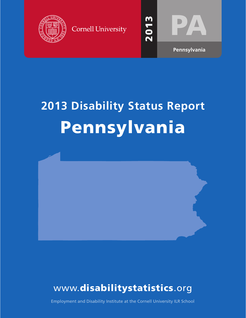





# **20 3 Disability Status Report** Pennsylvania



## www.disabilitystatistics.org

Employment and Disability Institute at the Cornell University ILR School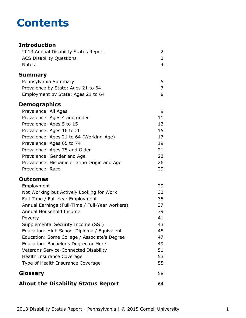## **Contents**

#### **Introduction** [2013 Annual Disability Status Report](#page-2-0) 2 [ACS Disability Questions](#page-3-0) 3 [Notes](#page-4-0) 4 **[Summary](#page-5-0)** [Pennsylvania Summary](#page-5-0) 5 [Prevalence by State: Ages 21 to 64](#page-7-0) 7 [Employment by State: Ages 21 to 64](#page-8-0) 8 **Demographics** [Prevalence: All Ages](#page-9-0) 9 [Prevalence: Ages 4 and under](#page-11-0) 11 [Prevalence: Ages 5 to 15](#page-13-0) 13 [Prevalence: Ages 16 to 20](#page-15-0) 15 [Prevalence: Ages 21 to 64 \(Working-Age\)](#page-17-0) 17 [Prevalence: Ages 65 to 74](#page-19-0) 19 [Prevalence: Ages 75 and Older](#page-21-0) 21 [Prevalence: Gender and Age](#page-23-0) 23 [Prevalence: Hispanic / Latino Origin and Age](#page-26-0) 26 [Prevalence: Race](#page-29-0) 29 **Outcomes** [Employment](#page-31-0) 29 [Not Working but Actively Looking for Work](#page-33-0) 33 [Full-Time / Full-Year Employment](#page-35-0) 35 [Annual Earnings \(Full-Time / Full-Year workers\)](#page-37-0) 37 [Annual Household Income](#page-39-0) 39 [Poverty](#page-41-0) 41 [Supplemental Security Income \(SSI\)](#page-43-0) 43 [Education: High School Diploma / Equivalent](#page-45-0) 45 [Education: Some College / Associate's Degree](#page-47-0) 47 [Education: Bachelor's Degree or More](#page-49-0) **1988** [Veterans Service-Connected Disability](#page-51-0) 51 [Health Insurance Coverage](#page-53-0) 63 and 53 [Type of Health Insurance Coverage](#page-55-0) 55 **[Glossary](#page-58-0)** 58 **[About the Disability Status Report](#page-64-0)** 64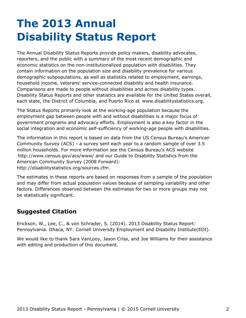# <span id="page-2-0"></span>**The 2013 Annual Disability Status Report**

The Annual Disability Status Reports provide policy makers, disability advocates, reporters, and the public with a summary of the most recent demographic and economic statistics on the non-institutionalized population with disabilities. They contain information on the population size and disability prevalence for various demographic subpopulations, as well as statistics related to employment, earnings, household income, veterans' service-connected disability and health insurance. Comparisons are made to people without disabilities and across disability types. Disability Status Reports and other statistics are available for the United States overall, each state, the District of Columbia, and Puerto Rico at [www.disabilitystatistics.org](http://www.disabilitystatistics.org).

The Status Reports primarily look at the working-age population because the employment gap between people with and without disabilities is a major focus of government programs and advocacy efforts. Employment is also a key factor in the social integration and economic self-sufficiency of working-age people with disabilities.

The information in this report is based on data from the US Census Bureau's American Community Survey (ACS) - a survey sent each year to a random sample of over 3.5 million households. For more information see the Census Bureau's ACS website <http://www.census.gov/acs/www/> and our Guide to Disability Statistics from the American Community Survey (2008 Forward): <http://disabilitystatistics.org/sources.cfm>.

The estimates in these reports are based on responses from a sample of the population and may differ from actual population values because of sampling variability and other factors. Differences observed between the estimates for two or more groups may not be statistically significant.

#### **Suggested Citation**

Erickson, W., Lee, C., & von Schrader, S. (2014). 2013 Disability Status Report: Pennsylvania. Ithaca, NY: Cornell University Employment and Disability Institute(EDI).

We would like to thank Sara VanLooy, Jason Criss, and Joe Williams for their assistance with editing and production of this document.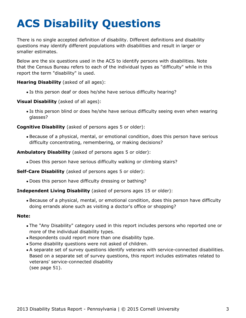# <span id="page-3-0"></span>**ACS Disability Questions**

There is no single accepted definition of disability. Different definitions and disability questions may identify different populations with disabilities and result in larger or smaller estimates.

Below are the six questions used in the ACS to identify persons with disabilities. Note that the Census Bureau refers to each of the individual types as "difficulty" while in this report the term "disability" is used.

**Hearing Disability** (asked of all ages):

Is this person deaf or does he/she have serious difficulty hearing?

**Visual Disability** (asked of all ages):

Is this person blind or does he/she have serious difficulty seeing even when wearing glasses?

**Cognitive Disability** (asked of persons ages 5 or older):

Because of a physical, mental, or emotional condition, does this person have serious difficulty concentrating, remembering, or making decisions?

**Ambulatory Disability** (asked of persons ages 5 or older):

Does this person have serious difficulty walking or climbing stairs?

**Self-Care Disability** (asked of persons ages 5 or older):

Does this person have difficulty dressing or bathing?

#### **Independent Living Disability** (asked of persons ages 15 or older):

Because of a physical, mental, or emotional condition, does this person have difficulty doing errands alone such as visiting a doctor's office or shopping?

#### **Note:**

- The "Any Disability" category used in this report includes persons who reported one or more of the individual disability types.
- Respondents could report more than one disability type.
- Some disability questions were not asked of children.
- A separate set of survey questions identify veterans with service-connected disabilities. Based on a separate set of survey questions, this report includes estimates related to veterans' service-connected disability (see page 51).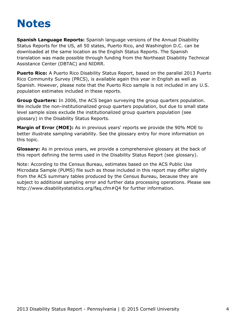## <span id="page-4-0"></span>**Notes**

**Spanish Language Reports:** Spanish language versions of the Annual Disability Status Reports for the US, all 50 states, Puerto Rico, and Washington D.C. can be downloaded at the same location as the English Status Reports. The Spanish translation was made possible through funding from the Northeast Disability Technical Assistance Center (DBTAC) and NIDRR.

**Puerto Rico:** A Puerto Rico Disability Status Report, based on the parallel 2013 Puerto Rico Community Survey (PRCS), is available again this year in English as well as Spanish. However, please note that the Puerto Rico sample is not included in any U.S. population estimates included in these reports.

**Group Quarters:** In 2006, the ACS began surveying the group quarters population. We include the non-institutionalized group quarters population, but due to small state level sample sizes exclude the institutionalized group quarters population (see [glossary](#page-58-0)) in the Disability Status Reports.

**Margin of Error (MOE):** As in previous years' reports we provide the 90% MOE to better illustrate sampling variability. See the glossary entry for more information on this topic.

**Glossary:** As in previous years, we provide a comprehensive glossary at the back of this report defining the terms used in the Disability Status Report (see [glossary](#page-58-0)).

Note: According to the Census Bureau, estimates based on the ACS Public Use Microdata Sample (PUMS) file such as those included in this report may differ slightly from the ACS summary tables produced by the Census Bureau, because they are subject to additional sampling error and further data processing operations. Please see <http://www.disabilitystatistics.org/faq.cfm#Q4> for further information.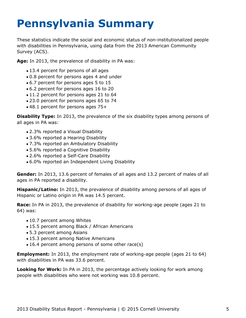# <span id="page-5-0"></span>**Pennsylvania Summary**

These statistics indicate the social and economic status of non-institutionalized people with disabilities in Pennsylvania, using data from the 2013 American Community Survey (ACS).

**Age:** In 2013, the prevalence of disability in PA was:

- 13.4 percent for persons of all ages
- 0.8 percent for persons ages 4 and under
- 6.7 percent for persons ages 5 to 15
- 6.2 percent for persons ages 16 to 20
- 11.2 percent for persons ages 21 to 64
- 23.0 percent for persons ages 65 to 74
- 48.1 percent for persons ages 75+

**Disability Type:** In 2013, the prevalence of the six disability types among persons of all ages in PA was:

- 2.3% reported a Visual Disability
- 3.6% reported a Hearing Disability
- 7.3% reported an Ambulatory Disability
- 5.6% reported a Cognitive Disability
- 2.6% reported a Self-Care Disability
- 6.0% reported an Independent Living Disability

**Gender:** In 2013, 13.6 percent of females of all ages and 13.2 percent of males of all ages in PA reported a disability.

**Hispanic/Latino:** In 2013, the prevalence of disability among persons of all ages of Hispanic or Latino origin in PA was 14.5 percent.

**Race:** In PA in 2013, the prevalence of disability for working-age people (ages 21 to 64) was:

- 10.7 percent among Whites
- 15.5 percent among Black / African Americans
- 5.3 percent among Asians
- 15.3 percent among Native Americans
- 16.4 percent among persons of some other race(s)

**Employment:** In 2013, the employment rate of working-age people (ages 21 to 64) with disabilities in PA was 33.6 percent.

**Looking for Work:** In PA in 2013, the percentage actively looking for work among people with disabilities who were not working was 10.8 percent.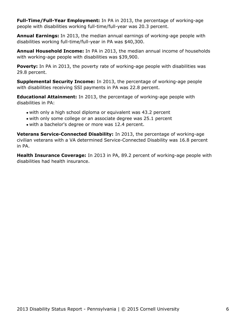**Full-Time/Full-Year Employment:** In PA in 2013, the percentage of working-age people with disabilities working full-time/full-year was 20.3 percent.

**Annual Earnings:** In 2013, the median annual earnings of working-age people with disabilities working full-time/full-year in PA was \$40,300.

**Annual Household Income:** In PA in 2013, the median annual income of households with working-age people with disabilities was \$39,900.

Poverty: In PA in 2013, the poverty rate of working-age people with disabilities was 29.8 percent.

**Supplemental Security Income:** In 2013, the percentage of working-age people with disabilities receiving SSI payments in PA was 22.8 percent.

**Educational Attainment:** In 2013, the percentage of working-age people with disabilities in PA:

- with only a high school diploma or equivalent was 43.2 percent
- with only some college or an associate degree was 25.1 percent
- with a bachelor's degree or more was 12.4 percent.

**Veterans Service-Connected Disability:** In 2013, the percentage of working-age civilian veterans with a VA determined Service-Connected Disability was 16.8 percent in PA.

**Health Insurance Coverage:** In 2013 in PA, 89.2 percent of working-age people with disabilities had health insurance.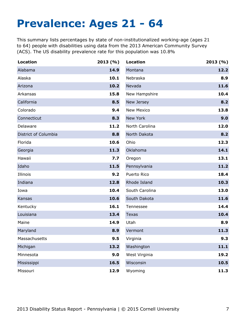## <span id="page-7-0"></span>**Prevalence: Ages 21 - 64**

This summary lists percentages by state of non-institutionalized working-age (ages 21 to 64) people with disabilities using data from the 2013 American Community Survey (ACS). The US disability prevalence rate for this population was 10.8%

| <b>Location</b>      | 2013(%) | <b>Location</b>   | 2013(%) |
|----------------------|---------|-------------------|---------|
| Alabama              | 14.9    | Montana           | 12.2    |
| Alaska               | 10.1    | Nebraska          | 8.9     |
| Arizona              | 10.2    | Nevada            | 11.6    |
| Arkansas             | 15.8    | New Hampshire     | 10.4    |
| California           | 8.5     | New Jersey        | 8.2     |
| Colorado             | 9.4     | <b>New Mexico</b> | 13.8    |
| Connecticut          | 8.3     | New York          | 9.0     |
| Delaware             | 11.2    | North Carolina    | 12.0    |
| District of Columbia | 8.8     | North Dakota      | 8.2     |
| Florida              | 10.6    | Ohio              | 12.3    |
| Georgia              | 11.3    | Oklahoma          | 14.1    |
| Hawaii               | 7.7     | Oregon            | 13.1    |
| Idaho                | 11.5    | Pennsylvania      | 11.2    |
| Illinois             | 9.2     | Puerto Rico       | 18.4    |
| Indiana              | 12.8    | Rhode Island      | 10.3    |
| Iowa                 | 10.4    | South Carolina    | 13.0    |
| Kansas               | 10.6    | South Dakota      | 11.6    |
| Kentucky             | 16.1    | Tennessee         | 14.4    |
| Louisiana            | 13.4    | <b>Texas</b>      | 10.4    |
| Maine                | 14.9    | Utah              | 8.9     |
| Maryland             | 8.9     | Vermont           | 11.3    |
| Massachusetts        | 9.5     | Virginia          | 9.3     |
| Michigan             | 13.2    | Washington        | 11.1    |
| Minnesota            | 9.0     | West Virginia     | 19.2    |
| Mississippi          | 16.5    | Wisconsin         | 10.5    |
| Missouri             | 12.9    | Wyoming           | 11.3    |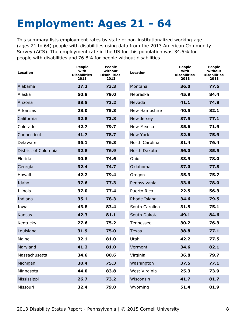# <span id="page-8-0"></span>**Employment: Ages 21 - 64**

This summary lists employment rates by state of non-institutionalized working-age (ages 21 to 64) people with disabilities using data from the 2013 American Community Survey (ACS). The employment rate in the US for this population was 34.5% for people with disabilities and 76.8% for people without disabilities.

| Location             | People<br>with<br><b>Disabilities</b><br>2013 | <b>People</b><br>without<br><b>Disabilities</b><br>2013 | <b>Location</b>   | <b>People</b><br>with<br><b>Disabilities</b><br>2013 | <b>People</b><br>without<br><b>Disabilities</b><br>2013 |
|----------------------|-----------------------------------------------|---------------------------------------------------------|-------------------|------------------------------------------------------|---------------------------------------------------------|
| Alabama              | 27.2                                          | 73.3                                                    | Montana           | 36.0                                                 | 77.5                                                    |
| Alaska               | 50.8                                          | 79.0                                                    | Nebraska          | 45.9                                                 | 84.4                                                    |
| Arizona              | 33.5                                          | 73.2                                                    | Nevada            | 41.1                                                 | 74.8                                                    |
| Arkansas             | 28.0                                          | 75.3                                                    | New Hampshire     | 40.5                                                 | 82.1                                                    |
| California           | 32.8                                          | 73.8                                                    | New Jersey        | 37.5                                                 | 77.1                                                    |
| Colorado             | 42.7                                          | 79.7                                                    | <b>New Mexico</b> | 35.6                                                 | 71.9                                                    |
| Connecticut          | 41.7                                          | 78.7                                                    | New York          | 32.6                                                 | 75.9                                                    |
| Delaware             | 36.1                                          | 76.3                                                    | North Carolina    | 31.4                                                 | 76.4                                                    |
| District of Columbia | 32.8                                          | 76.9                                                    | North Dakota      | 56.0                                                 | 85.5                                                    |
| Florida              | 30.8                                          | 74.6                                                    | Ohio              | 33.9                                                 | 78.0                                                    |
| Georgia              | 32.4                                          | 74.7                                                    | Oklahoma          | 37.0                                                 | 77.8                                                    |
| Hawaii               | 42.2                                          | 79.4                                                    | Oregon            | 35.3                                                 | 75.7                                                    |
| Idaho                | 37.6                                          | 77.3                                                    | Pennsylvania      | 33.6                                                 | 78.0                                                    |
| Illinois             | 37.0                                          | 77.4                                                    | Puerto Rico       | 22.5                                                 | 56.3                                                    |
| Indiana              | 35.1                                          | 78.3                                                    | Rhode Island      | 34.6                                                 | 79.5                                                    |
| Iowa                 | 43.8                                          | 83.4                                                    | South Carolina    | 31.5                                                 | 75.1                                                    |
| Kansas               | 42.3                                          | 81.1                                                    | South Dakota      | 49.1                                                 | 84.6                                                    |
| Kentucky             | 27.6                                          | 75.2                                                    | Tennessee         | 30.2                                                 | 76.3                                                    |
| Louisiana            | 31.9                                          | 75.0                                                    | <b>Texas</b>      | 38.8                                                 | 77.1                                                    |
| Maine                | 32.1                                          | 81.0                                                    | Utah              | 42.2                                                 | 77.5                                                    |
| Maryland             | 41.2                                          | 81.0                                                    | Vermont           | 34.6                                                 | 82.1                                                    |
| Massachusetts        | 34.6                                          | 80.6                                                    | Virginia          | 36.8                                                 | 79.7                                                    |
| Michigan             | 30.4                                          | 75.3                                                    | Washington        | 37.5                                                 | 77.1                                                    |
| Minnesota            | 44.0                                          | 83.8                                                    | West Virginia     | 25.3                                                 | 73.9                                                    |
| Mississippi          | 26.7                                          | 73.2                                                    | Wisconsin         | 41.7                                                 | 81.7                                                    |
| Missouri             | 32.4                                          | 79.0                                                    | Wyoming           | 51.4                                                 | 81.9                                                    |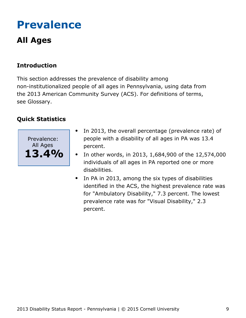# <span id="page-9-0"></span>**Prevalence**

### **All Ages**

### **Introduction**

This section addresses the prevalence of disability among non-institutionalized people of all ages in Pennsylvania, using data from the 2013 American Community Survey (ACS). For definitions of terms, see Glossary.



- In 2013, the overall percentage (prevalence rate) of  $\bullet$ people with a disability of all ages in PA was 13.4 percent.
- In other words, in 2013, 1,684,900 of the 12,574,000  $\bullet$ individuals of all ages in PA reported one or more disabilities.
- In PA in 2013, among the six types of disabilities identified in the ACS, the highest prevalence rate was for "Ambulatory Disability," 7.3 percent. The lowest prevalence rate was for "Visual Disability," 2.3 percent.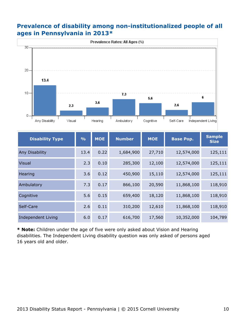#### **Prevalence of disability among non-institutionalized people of all ages in Pennsylvania in 2013\***



| <b>Disability Type</b> | $\frac{0}{0}$ | <b>MOE</b> | <b>Number</b> | <b>MOE</b> | <b>Base Pop.</b> | <b>Sample</b><br><b>Size</b> |
|------------------------|---------------|------------|---------------|------------|------------------|------------------------------|
| Any Disability         | 13.4          | 0.22       | 1,684,900     | 27,710     | 12,574,000       | 125,111                      |
| <b>Visual</b>          | 2.3           | 0.10       | 285,300       | 12,100     | 12,574,000       | 125,111                      |
| Hearing                | 3.6           | 0.12       | 450,900       | 15,110     | 12,574,000       | 125,111                      |
| Ambulatory             | 7.3           | 0.17       | 866,100       | 20,590     | 11,868,100       | 118,910                      |
| Cognitive              | 5.6           | 0.15       | 659,400       | 18,120     | 11,868,100       | 118,910                      |
| Self-Care              | 2.6           | 0.11       | 310,200       | 12,610     | 11,868,100       | 118,910                      |
| Independent Living     | 6.0           | 0.17       | 616,700       | 17,560     | 10,352,000       | 104,789                      |

**\* Note:** Children under the age of five were only asked about Vision and Hearing disabilities. The Independent Living disability question was only asked of persons aged 16 years old and older.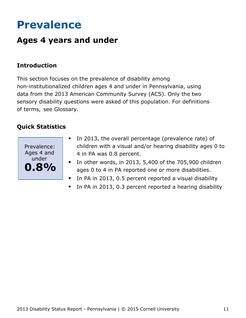# <span id="page-11-0"></span>**Prevalence**

### **Ages 4 years and under**

#### **Introduction**

This section focuses on the prevalence of disability among non-institutionalized children ages 4 and under in Pennsylvania, using data from the 2013 American Community Survey (ACS). Only the two sensory disability questions were asked of this population. For definitions of terms, see Glossary.



- In 2013, the overall percentage (prevalence rate) of  $\bullet$ children with a visual and/or hearing disability ages 0 to 4 in PA was 0.8 percent.
- In other words, in 2013, 5,400 of the 705,900 children ages 0 to 4 in PA reported one or more disabilities.
- In PA in 2013, 0.5 percent reported a visual disability  $\bullet$
- In PA in 2013, 0.3 percent reported a hearing disability  $\bullet$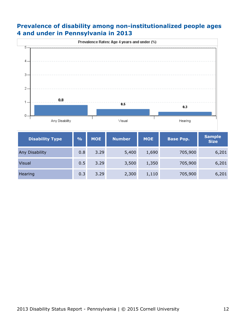#### **Prevalence of disability among non-institutionalized people ages 4 and under in Pennsylvania in 2013**



| <b>Disability Type</b> | $\frac{9}{6}$ | <b>MOE</b> | <b>Number</b> | <b>MOE</b> | <b>Base Pop.</b> | <b>Sample</b><br><b>Size</b> |
|------------------------|---------------|------------|---------------|------------|------------------|------------------------------|
| Any Disability         | 0.8           | 3.29       | 5,400         | 1,690      | 705,900          | 6,201                        |
| <b>Visual</b>          | 0.5           | 3.29       | 3,500         | 1,350      | 705,900          | 6,201                        |
| Hearing                | 0.3           | 3.29       | 2,300         | 1,110      | 705,900          | 6,201                        |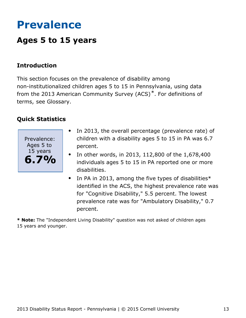# <span id="page-13-0"></span>**Prevalence**

### **Ages 5 to 15 years**

#### **Introduction**

This section focuses on the prevalence of disability among non-institutionalized children ages 5 to 15 in Pennsylvania, using data from the 2013 American Community Survey (ACS)\*. For definitions of terms, see Glossary.

#### **Quick Statistics**



- In 2013, the overall percentage (prevalence rate) of  $\bullet$ children with a disability ages 5 to 15 in PA was 6.7 percent.
- In other words, in 2013, 112,800 of the 1,678,400 individuals ages 5 to 15 in PA reported one or more disabilities.
- $\bullet$ In PA in 2013, among the five types of disabilities\* identified in the ACS, the highest prevalence rate was for "Cognitive Disability," 5.5 percent. The lowest prevalence rate was for "Ambulatory Disability," 0.7 percent.

**\* Note:** The "Independent Living Disability" question was not asked of children ages 15 years and younger.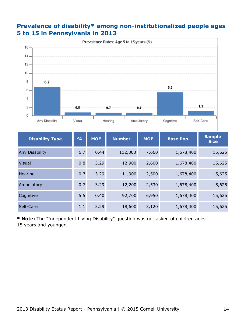#### **Prevalence of disability\* among non-institutionalized people ages 5 to 15 in Pennsylvania in 2013**



| <b>Disability Type</b> | $\frac{9}{6}$ | <b>MOE</b> | <b>Number</b> | <b>MOE</b> | <b>Base Pop.</b> | <b>Sample</b><br><b>Size</b> |
|------------------------|---------------|------------|---------------|------------|------------------|------------------------------|
| Any Disability         | 6.7           | 0.44       | 112,800       | 7,660      | 1,678,400        | 15,625                       |
| <b>Visual</b>          | 0.8           | 3.29       | 12,900        | 2,600      | 1,678,400        | 15,625                       |
| Hearing                | 0.7           | 3.29       | 11,900        | 2,500      | 1,678,400        | 15,625                       |
| Ambulatory             | 0.7           | 3.29       | 12,200        | 2,530      | 1,678,400        | 15,625                       |
| Cognitive              | 5.5           | 0.40       | 92,700        | 6,950      | 1,678,400        | 15,625                       |
| Self-Care              | 1.1           | 3.29       | 18,600        | 3,120      | 1,678,400        | 15,625                       |

**\* Note:** The "Independent Living Disability" question was not asked of children ages 15 years and younger.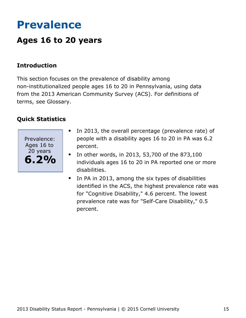# <span id="page-15-0"></span>**Prevalence**

### **Ages 16 to 20 years**

#### **Introduction**

This section focuses on the prevalence of disability among non-institutionalized people ages 16 to 20 in Pennsylvania, using data from the 2013 American Community Survey (ACS). For definitions of terms, see Glossary.



- In 2013, the overall percentage (prevalence rate) of  $\bullet$ people with a disability ages 16 to 20 in PA was 6.2 percent.
- In other words, in 2013, 53,700 of the 873,100  $\bullet$ individuals ages 16 to 20 in PA reported one or more disabilities.
- In PA in 2013, among the six types of disabilities  $\bullet$ identified in the ACS, the highest prevalence rate was for "Cognitive Disability," 4.6 percent. The lowest prevalence rate was for "Self-Care Disability," 0.5 percent.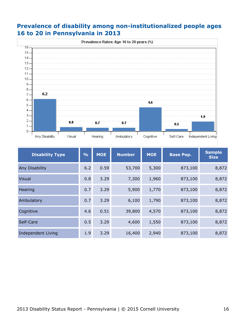#### **Prevalence of disability among non-institutionalized people ages 16 to 20 in Pennsylvania in 2013**



| <b>Disability Type</b> | $\frac{9}{6}$ | <b>MOE</b> | <b>Number</b> | <b>MOE</b> | <b>Base Pop.</b> | <b>Sample</b><br><b>Size</b> |
|------------------------|---------------|------------|---------------|------------|------------------|------------------------------|
| Any Disability         | 6.2           | 0.59       | 53,700        | 5,300      | 873,100          | 8,872                        |
| <b>Visual</b>          | 0.8           | 3.29       | 7,300         | 1,960      | 873,100          | 8,872                        |
| <b>Hearing</b>         | 0.7           | 3.29       | 5,900         | 1,770      | 873,100          | 8,872                        |
| Ambulatory             | 0.7           | 3.29       | 6,100         | 1,790      | 873,100          | 8,872                        |
| Cognitive              | 4.6           | 0.51       | 39,800        | 4,570      | 873,100          | 8,872                        |
| Self-Care              | 0.5           | 3.29       | 4,600         | 1,550      | 873,100          | 8,872                        |
| Independent Living     | 1.9           | 3.29       | 16,400        | 2,940      | 873,100          | 8,872                        |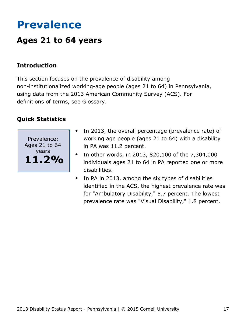# <span id="page-17-0"></span>**Prevalence**

### **Ages 21 to 64 years**

#### **Introduction**

This section focuses on the prevalence of disability among non-institutionalized working-age people (ages 21 to 64) in Pennsylvania, using data from the 2013 American Community Survey (ACS). For definitions of terms, see Glossary.



- In 2013, the overall percentage (prevalence rate) of  $\bullet$ working age people (ages 21 to 64) with a disability in PA was 11.2 percent.
- In other words, in 2013, 820,100 of the 7,304,000  $\bullet$ individuals ages 21 to 64 in PA reported one or more disabilities.
- In PA in 2013, among the six types of disabilities identified in the ACS, the highest prevalence rate was for "Ambulatory Disability," 5.7 percent. The lowest prevalence rate was "Visual Disability," 1.8 percent.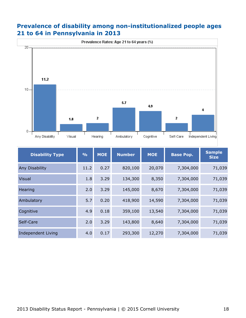#### **Prevalence of disability among non-institutionalized people ages 21 to 64 in Pennsylvania in 2013**



| <b>Disability Type</b>    | $\frac{9}{0}$ | <b>MOE</b> | <b>Number</b> | <b>MOE</b> | <b>Base Pop.</b> | <b>Sample</b><br><b>Size</b> |
|---------------------------|---------------|------------|---------------|------------|------------------|------------------------------|
| Any Disability            | 11.2          | 0.27       | 820,100       | 20,070     | 7,304,000        | 71,039                       |
| <b>Visual</b>             | 1.8           | 3.29       | 134,300       | 8,350      | 7,304,000        | 71,039                       |
| Hearing                   | 2.0           | 3.29       | 145,000       | 8,670      | 7,304,000        | 71,039                       |
| Ambulatory                | 5.7           | 0.20       | 418,900       | 14,590     | 7,304,000        | 71,039                       |
| Cognitive                 | 4.9           | 0.18       | 359,100       | 13,540     | 7,304,000        | 71,039                       |
| Self-Care                 | 2.0           | 3.29       | 143,800       | 8,640      | 7,304,000        | 71,039                       |
| <b>Independent Living</b> | 4.0           | 0.17       | 293,300       | 12,270     | 7,304,000        | 71,039                       |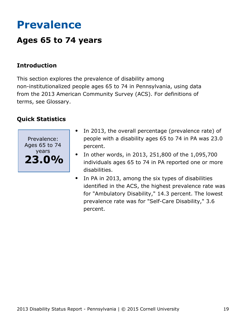## <span id="page-19-0"></span>**Prevalence**

### **Ages 65 to 74 years**

#### **Introduction**

This section explores the prevalence of disability among non-institutionalized people ages 65 to 74 in Pennsylvania, using data from the 2013 American Community Survey (ACS). For definitions of terms, see Glossary.



- In 2013, the overall percentage (prevalence rate) of  $\bullet$ people with a disability ages 65 to 74 in PA was 23.0 percent.
- In other words, in 2013, 251,800 of the 1,095,700  $\bullet$ individuals ages 65 to 74 in PA reported one or more disabilities.
- In PA in 2013, among the six types of disabilities identified in the ACS, the highest prevalence rate was for "Ambulatory Disability," 14.3 percent. The lowest prevalence rate was for "Self-Care Disability," 3.6 percent.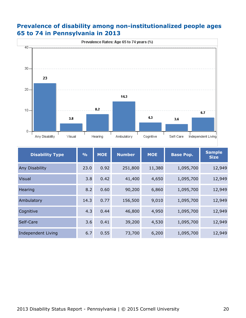#### **Prevalence of disability among non-institutionalized people ages 65 to 74 in Pennsylvania in 2013**



| <b>Disability Type</b>    | $\frac{9}{0}$ | <b>MOE</b> | <b>Number</b> | <b>MOE</b> | <b>Base Pop.</b> | <b>Sample</b><br><b>Size</b> |
|---------------------------|---------------|------------|---------------|------------|------------------|------------------------------|
| Any Disability            | 23.0          | 0.92       | 251,800       | 11,380     | 1,095,700        | 12,949                       |
| Visual                    | 3.8           | 0.42       | 41,400        | 4,650      | 1,095,700        | 12,949                       |
| Hearing                   | 8.2           | 0.60       | 90,200        | 6,860      | 1,095,700        | 12,949                       |
| Ambulatory                | 14.3          | 0.77       | 156,500       | 9,010      | 1,095,700        | 12,949                       |
| Cognitive                 | 4.3           | 0.44       | 46,800        | 4,950      | 1,095,700        | 12,949                       |
| Self-Care                 | 3.6           | 0.41       | 39,200        | 4,530      | 1,095,700        | 12,949                       |
| <b>Independent Living</b> | 6.7           | 0.55       | 73,700        | 6,200      | 1,095,700        | 12,949                       |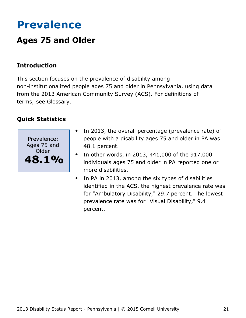# <span id="page-21-0"></span>**Prevalence**

### **Ages 75 and Older**

### **Introduction**

This section focuses on the prevalence of disability among non-institutionalized people ages 75 and older in Pennsylvania, using data from the 2013 American Community Survey (ACS). For definitions of terms, see Glossary.



- In 2013, the overall percentage (prevalence rate) of  $\bullet$ people with a disability ages 75 and older in PA was 48.1 percent.
- In other words, in 2013, 441,000 of the 917,000  $\bullet$ individuals ages 75 and older in PA reported one or more disabilities.
- In PA in 2013, among the six types of disabilities  $\bullet$ identified in the ACS, the highest prevalence rate was for "Ambulatory Disability," 29.7 percent. The lowest prevalence rate was for "Visual Disability," 9.4 percent.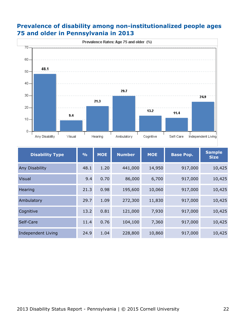#### **Prevalence of disability among non-institutionalized people ages 75 and older in Pennsylvania in 2013**



| <b>Disability Type</b>    | $\frac{1}{2}$ | <b>MOE</b> | <b>Number</b> | <b>MOE</b> | <b>Base Pop.</b> | <b>Sample</b><br><b>Size</b> |
|---------------------------|---------------|------------|---------------|------------|------------------|------------------------------|
| Any Disability            | 48.1          | 1.20       | 441,000       | 14,950     | 917,000          | 10,425                       |
| <b>Visual</b>             | 9.4           | 0.70       | 86,000        | 6,700      | 917,000          | 10,425                       |
| Hearing                   | 21.3          | 0.98       | 195,600       | 10,060     | 917,000          | 10,425                       |
| Ambulatory                | 29.7          | 1.09       | 272,300       | 11,830     | 917,000          | 10,425                       |
| Cognitive                 | 13.2          | 0.81       | 121,000       | 7,930      | 917,000          | 10,425                       |
| Self-Care                 | 11.4          | 0.76       | 104,100       | 7,360      | 917,000          | 10,425                       |
| <b>Independent Living</b> | 24.9          | 1.04       | 228,800       | 10,860     | 917,000          | 10,425                       |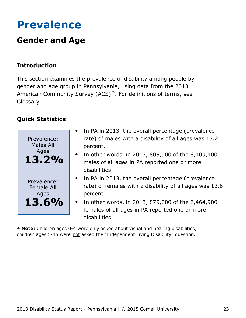## <span id="page-23-0"></span>**Prevalence**

### **Gender and Age**

### **Introduction**

This section examines the prevalence of disability among people by gender and age group in Pennsylvania, using data from the 2013 American Community Survey (ACS)\*. For definitions of terms, see Glossary.

#### **Quick Statistics**



- In PA in 2013, the overall percentage (prevalence rate) of males with a disability of all ages was 13.2 percent.
- In other words, in 2013, 805,900 of the 6,109,100 males of all ages in PA reported one or more disabilities.
- In PA in 2013, the overall percentage (prevalence rate) of females with a disability of all ages was 13.6 percent.
- In other words, in 2013, 879,000 of the 6,464,900  $\bullet$ females of all ages in PA reported one or more disabilities.

**\* Note:** Children ages 0-4 were only asked about visual and hearing disabilities, children ages 5-15 were not asked the "Independent Living Disability" question.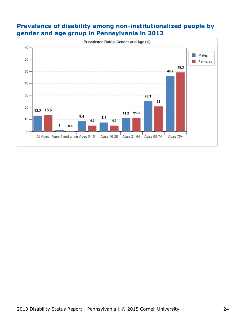#### **Prevalence of disability among non-institutionalized people by gender and age group in Pennsylvania in 2013**

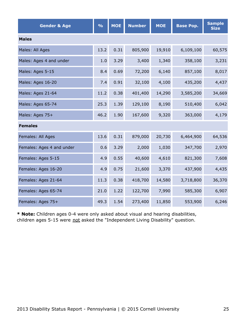| <b>Gender &amp; Age</b>   | $\frac{6}{6}$ | <b>MOE</b> | <b>Number</b> | <b>MOE</b> | <b>Base Pop.</b> | <b>Sample</b><br><b>Size</b> |  |  |  |
|---------------------------|---------------|------------|---------------|------------|------------------|------------------------------|--|--|--|
| <b>Males</b>              |               |            |               |            |                  |                              |  |  |  |
| Males: All Ages           | 13.2          | 0.31       | 805,900       | 19,910     | 6,109,100        | 60,575                       |  |  |  |
| Males: Ages 4 and under   | 1.0           | 3.29       | 3,400         | 1,340      | 358,100          | 3,231                        |  |  |  |
| Males: Ages 5-15          | 8.4           | 0.69       | 72,200        | 6,140      | 857,100          | 8,017                        |  |  |  |
| Males: Ages 16-20         | 7.4           | 0.91       | 32,100        | 4,100      | 435,200          | 4,437                        |  |  |  |
| Males: Ages 21-64         | 11.2          | 0.38       | 401,400       | 14,290     | 3,585,200        | 34,669                       |  |  |  |
| Males: Ages 65-74         | 25.3          | 1.39       | 129,100       | 8,190      | 510,400          | 6,042                        |  |  |  |
| Males: Ages 75+           | 46.2          | 1.90       | 167,600       | 9,320      | 363,000          | 4,179                        |  |  |  |
| <b>Females</b>            |               |            |               |            |                  |                              |  |  |  |
| Females: All Ages         | 13.6          | 0.31       | 879,000       | 20,730     | 6,464,900        | 64,536                       |  |  |  |
| Females: Ages 4 and under | 0.6           | 3.29       | 2,000         | 1,030      | 347,700          | 2,970                        |  |  |  |
| Females: Ages 5-15        | 4.9           | 0.55       | 40,600        | 4,610      | 821,300          | 7,608                        |  |  |  |
| Females: Ages 16-20       | 4.9           | 0.75       | 21,600        | 3,370      | 437,900          | 4,435                        |  |  |  |
| Females: Ages 21-64       | 11.3          | 0.38       | 418,700       | 14,580     | 3,718,800        | 36,370                       |  |  |  |
| Females: Ages 65-74       | 21.0          | 1.22       | 122,700       | 7,990      | 585,300          | 6,907                        |  |  |  |
| Females: Ages 75+         | 49.3          | 1.54       | 273,400       | 11,850     | 553,900          | 6,246                        |  |  |  |

**\* Note:** Children ages 0-4 were only asked about visual and hearing disabilities, children ages 5-15 were not asked the "Independent Living Disability" question.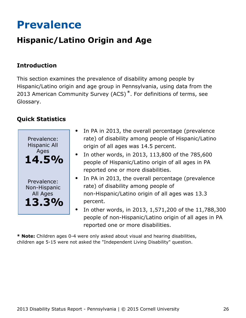## <span id="page-26-0"></span>**Prevalence**

### **Hispanic/Latino Origin and Age**

### **Introduction**

This section examines the prevalence of disability among people by Hispanic/Latino origin and age group in Pennsylvania, using data from the 2013 American Community Survey (ACS)<sup>\*</sup>. For definitions of terms, see Glossary.

### **Quick Statistics**



- In PA in 2013, the overall percentage (prevalence rate) of disability among people of Hispanic/Latino origin of all ages was 14.5 percent.
- In other words, in 2013, 113,800 of the 785,600 people of Hispanic/Latino origin of all ages in PA reported one or more disabilities.
- In PA in 2013, the overall percentage (prevalence rate) of disability among people of non-Hispanic/Latino origin of all ages was 13.3 percent.
- In other words, in 2013, 1,571,200 of the 11,788,300 people of non-Hispanic/Latino origin of all ages in PA reported one or more disabilities.

**\* Note:** Children ages 0-4 were only asked about visual and hearing disabilities, children age 5-15 were not asked the "Independent Living Disability" question.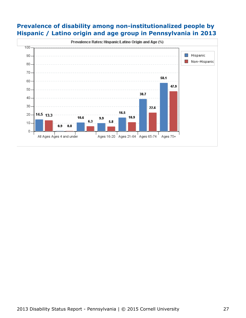#### **Prevalence of disability among non-institutionalized people by Hispanic / Latino origin and age group in Pennsylvania in 2013**

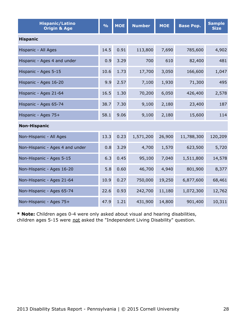| <b>Hispanic/Latino</b><br><b>Origin &amp; Age</b> | $\frac{9}{6}$ | <b>MOE</b> | <b>Number</b> | <b>MOE</b> | <b>Base Pop.</b> | <b>Sample</b><br><b>Size</b> |  |  |  |
|---------------------------------------------------|---------------|------------|---------------|------------|------------------|------------------------------|--|--|--|
| <b>Hispanic</b>                                   |               |            |               |            |                  |                              |  |  |  |
| Hispanic - All Ages                               | 14.5          | 0.91       | 113,800       | 7,690      | 785,600          | 4,902                        |  |  |  |
| Hispanic - Ages 4 and under                       | 0.9           | 3.29       | 700           | 610        | 82,400           | 481                          |  |  |  |
| Hispanic - Ages 5-15                              | 10.6          | 1.73       | 17,700        | 3,050      | 166,600          | 1,047                        |  |  |  |
| Hispanic - Ages 16-20                             | 9.9           | 2.57       | 7,100         | 1,930      | 71,300           | 495                          |  |  |  |
| Hispanic - Ages 21-64                             | 16.5          | 1.30       | 70,200        | 6,050      | 426,400          | 2,578                        |  |  |  |
| Hispanic - Ages 65-74                             | 38.7          | 7.30       | 9,100         | 2,180      | 23,400           | 187                          |  |  |  |
| Hispanic - Ages 75+                               | 58.1          | 9.06       | 9,100         | 2,180      | 15,600           | 114                          |  |  |  |
| <b>Non-Hispanic</b>                               |               |            |               |            |                  |                              |  |  |  |
| Non-Hispanic - All Ages                           | 13.3          | 0.23       | 1,571,200     | 26,900     | 11,788,300       | 120,209                      |  |  |  |
| Non-Hispanic - Ages 4 and under                   | 0.8           | 3.29       | 4,700         | 1,570      | 623,500          | 5,720                        |  |  |  |
| Non-Hispanic - Ages 5-15                          | 6.3           | 0.45       | 95,100        | 7,040      | 1,511,800        | 14,578                       |  |  |  |
| Non-Hispanic - Ages 16-20                         | 5.8           | 0.60       | 46,700        | 4,940      | 801,900          | 8,377                        |  |  |  |
| Non-Hispanic - Ages 21-64                         | 10.9          | 0.27       | 750,000       | 19,250     | 6,877,600        | 68,461                       |  |  |  |
| Non-Hispanic - Ages 65-74                         | 22.6          | 0.93       | 242,700       | 11,180     | 1,072,300        | 12,762                       |  |  |  |
| Non-Hispanic - Ages 75+                           | 47.9          | 1.21       | 431,900       | 14,800     | 901,400          | 10,311                       |  |  |  |

**\* Note:** Children ages 0-4 were only asked about visual and hearing disabilities, children ages 5-15 were not asked the "Independent Living Disability" question.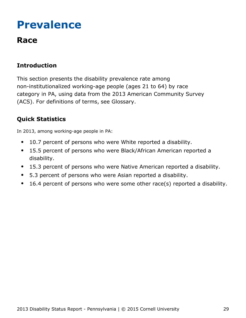# <span id="page-29-0"></span>**Prevalence**

### **Race**

### **Introduction**

This section presents the disability prevalence rate among non-institutionalized working-age people (ages 21 to 64) by race category in PA, using data from the 2013 American Community Survey (ACS). For definitions of terms, see Glossary.

### **Quick Statistics**

In 2013, among working-age people in PA:

- 10.7 percent of persons who were White reported a disability.  $\bullet$
- 15.5 percent of persons who were Black/African American reported a  $\bullet$ disability.
- 15.3 percent of persons who were Native American reported a disability.  $\bullet$
- 5.3 percent of persons who were Asian reported a disability.
- 16.4 percent of persons who were some other race(s) reported a disability.  $\bullet$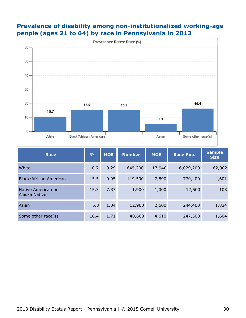



| <b>Race</b>                         | $\frac{9}{0}$ | <b>MOE</b> | <b>Number</b> | <b>MOE</b> | <b>Base Pop.</b> | <b>Sample</b><br><b>Size</b> |
|-------------------------------------|---------------|------------|---------------|------------|------------------|------------------------------|
| White                               | 10.7          | 0.29       | 645,200       | 17,940     | 6,029,200        | 62,902                       |
| <b>Black/African American</b>       | 15.5          | 0.95       | 119,500       | 7,890      | 770,400          | 4,601                        |
| Native American or<br>Alaska Native | 15.3          | 7.37       | 1,900         | 1,000      | 12,500           | 108                          |
| Asian                               | 5.3           | 1.04       | 12,900        | 2,600      | 244,400          | 1,824                        |
| Some other race(s)                  | 16.4          | 1.71       | 40,600        | 4,610      | 247,500          | 1,604                        |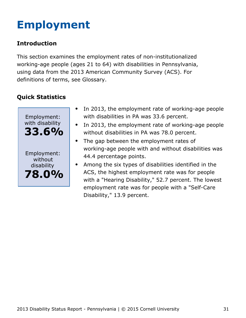# <span id="page-31-0"></span>**Employment**

### **Introduction**

This section examines the employment rates of non-institutionalized working-age people (ages 21 to 64) with disabilities in Pennsylvania, using data from the 2013 American Community Survey (ACS). For definitions of terms, see Glossary.



- $\bullet$ In 2013, the employment rate of working-age people with disabilities in PA was 33.6 percent.
- In 2013, the employment rate of working-age people  $\bullet$ without disabilities in PA was 78.0 percent.
- $\bullet$ The gap between the employment rates of working-age people with and without disabilities was 44.4 percentage points.
- Among the six types of disabilities identified in the ACS, the highest employment rate was for people with a "Hearing Disability," 52.7 percent. The lowest employment rate was for people with a "Self-Care Disability," 13.9 percent.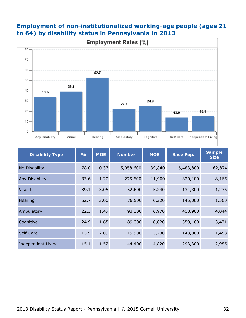

#### **Employment of non-institutionalized working-age people (ages 21 to 64) by disability status in Pennsylvania in 2013**

| <b>Disability Type</b> | $\frac{9}{6}$ | <b>MOE</b> | <b>Number</b><br><b>MOE</b> |        | <b>Base Pop.</b> | <b>Sample</b><br><b>Size</b> |
|------------------------|---------------|------------|-----------------------------|--------|------------------|------------------------------|
| No Disability          | 78.0          | 0.37       | 5,058,600                   | 39,840 | 6,483,800        | 62,874                       |
| Any Disability         | 33.6          | 1.20       | 275,600                     | 11,900 | 820,100          | 8,165                        |
| <b>Visual</b>          | 39.1          | 3.05       | 52,600                      | 5,240  | 134,300          | 1,236                        |
| Hearing                | 52.7          | 3.00       | 76,500                      | 6,320  | 145,000          | 1,560                        |
| Ambulatory             | 22.3          | 1.47       | 93,300                      | 6,970  | 418,900          | 4,044                        |
| Cognitive              | 24.9          | 1.65       | 89,300                      | 6,820  | 359,100          | 3,471                        |
| Self-Care              | 13.9          | 2.09       | 19,900                      | 3,230  | 143,800          | 1,458                        |
| Independent Living     | 15.1          | 1.52       | 44,400                      | 4,820  | 293,300          | 2,985                        |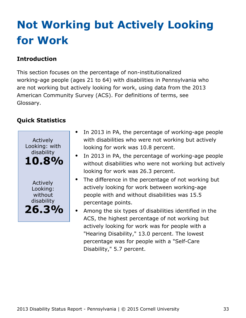# <span id="page-33-0"></span>**Not Working but Actively Looking for Work**

### **Introduction**

This section focuses on the percentage of non-institutionalized working-age people (ages 21 to 64) with disabilities in Pennsylvania who are not working but actively looking for work, using data from the 2013 American Community Survey (ACS). For definitions of terms, see Glossary.



- In 2013 in PA, the percentage of working-age people with disabilities who were not working but actively looking for work was 10.8 percent.
- In 2013 in PA, the percentage of working-age people without disabilities who were not working but actively looking for work was 26.3 percent.
- $\bullet$ The difference in the percentage of not working but actively looking for work between working-age people with and without disabilities was 15.5 percentage points.
- Among the six types of disabilities identified in the ACS, the highest percentage of not working but actively looking for work was for people with a "Hearing Disability," 13.0 percent. The lowest percentage was for people with a "Self-Care Disability," 5.7 percent.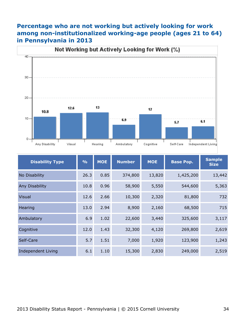#### **Percentage who are not working but actively looking for work among non-institutionalized working-age people (ages 21 to 64) in Pennsylvania in 2013**



| <b>Disability Type</b>    | $\frac{9}{6}$ | <b>MOE</b> | <b>Number</b><br><b>MOE</b> |        | <b>Base Pop.</b> | <b>Sample</b><br><b>Size</b> |
|---------------------------|---------------|------------|-----------------------------|--------|------------------|------------------------------|
| No Disability             | 26.3          | 0.85       | 374,800                     | 13,820 | 1,425,200        | 13,442                       |
| Any Disability            | 10.8          | 0.96       | 58,900                      | 5,550  | 544,600          | 5,363                        |
| <b>Visual</b>             | 12.6          | 2.66       | 10,300                      | 2,320  | 81,800           | 732                          |
| Hearing                   | 13.0          | 2.94       | 8,900                       | 2,160  | 68,500           | 715                          |
| Ambulatory                | 6.9           | 1.02       | 22,600                      | 3,440  | 325,600          | 3,117                        |
| Cognitive                 | 12.0          | 1.43       | 32,300                      | 4,120  | 269,800          | 2,619                        |
| Self-Care                 | 5.7           | 1.51       | 7,000                       | 1,920  | 123,900          | 1,243                        |
| <b>Independent Living</b> | 6.1           | 1.10       | 15,300                      | 2,830  | 249,000          | 2,519                        |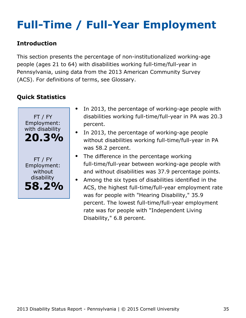# <span id="page-35-0"></span>**Full-Time / Full-Year Employment**

#### **Introduction**

This section presents the percentage of non-institutionalized working-age people (ages 21 to 64) with disabilities working full-time/full-year in Pennsylvania, using data from the 2013 American Community Survey (ACS). For definitions of terms, see Glossary.



- In 2013, the percentage of working-age people with disabilities working full-time/full-year in PA was 20.3 percent.
- In 2013, the percentage of working-age people without disabilities working full-time/full-year in PA was 58.2 percent.
- The difference in the percentage working full-time/full-year between working-age people with and without disabilities was 37.9 percentage points.
- Among the six types of disabilities identified in the  $\bullet$ ACS, the highest full-time/full-year employment rate was for people with "Hearing Disability," 35.9 percent. The lowest full-time/full-year employment rate was for people with "Independent Living Disability," 6.8 percent.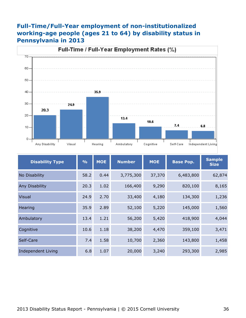#### **Full-Time/Full-Year employment of non-institutionalized working-age people (ages 21 to 64) by disability status in Pennsylvania in 2013**



| <b>Disability Type</b> | $\frac{0}{0}$ | <b>MOE</b> | <b>Number</b><br><b>MOE</b> |        | <b>Base Pop.</b> | <b>Sample</b><br><b>Size</b> |
|------------------------|---------------|------------|-----------------------------|--------|------------------|------------------------------|
| No Disability          | 58.2          | 0.44       | 3,775,300                   | 37,370 | 6,483,800        | 62,874                       |
| Any Disability         | 20.3          | 1.02       | 166,400                     | 9,290  | 820,100          | 8,165                        |
| <b>Visual</b>          | 24.9          | 2.70       | 33,400                      | 4,180  | 134,300          | 1,236                        |
| Hearing                | 35.9          | 2.89       | 52,100                      | 5,220  | 145,000          | 1,560                        |
| Ambulatory             | 13.4          | 1.21       | 56,200                      | 5,420  | 418,900          | 4,044                        |
| Cognitive              | 10.6          | 1.18       | 38,200                      | 4,470  | 359,100          | 3,471                        |
| Self-Care              | 7.4           | 1.58       | 10,700                      | 2,360  | 143,800          | 1,458                        |
| Independent Living     | 6.8           | 1.07       | 20,000                      | 3,240  | 293,300          | 2,985                        |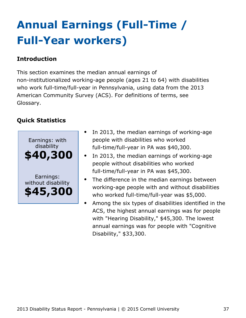# <span id="page-37-0"></span>**Annual Earnings (Full-Time / Full-Year workers)**

#### **Introduction**

This section examines the median annual earnings of non-institutionalized working-age people (ages 21 to 64) with disabilities who work full-time/full-year in Pennsylvania, using data from the 2013 American Community Survey (ACS). For definitions of terms, see Glossary.



- In 2013, the median earnings of working-age people with disabilities who worked full-time/full-year in PA was \$40,300.
- In 2013, the median earnings of working-age people without disabilities who worked full-time/full-year in PA was \$45,300.
- The difference in the median earnings between working-age people with and without disabilities who worked full-time/full-year was \$5,000.
- Among the six types of disabilities identified in the ACS, the highest annual earnings was for people with "Hearing Disability," \$45,300. The lowest annual earnings was for people with "Cognitive Disability," \$33,300.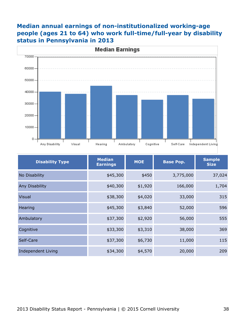### **Median annual earnings of non-institutionalized working-age people (ages 21 to 64) who work full-time/full-year by disability status in Pennsylvania in 2013**



| <b>Disability Type</b> | <b>Median</b><br><b>Earnings</b> | <b>MOE</b> | <b>Base Pop.</b> | <b>Sample</b><br><b>Size</b> |
|------------------------|----------------------------------|------------|------------------|------------------------------|
| No Disability          | \$45,300                         | \$450      | 3,775,000        | 37,024                       |
| Any Disability         | \$40,300                         | \$1,920    | 166,000          | 1,704                        |
| <b>Visual</b>          | \$38,300                         | \$4,020    | 33,000           | 315                          |
| Hearing                | \$45,300                         | \$3,840    | 52,000           | 596                          |
| Ambulatory             | \$37,300                         | \$2,920    | 56,000           | 555                          |
| Cognitive              | \$33,300                         | \$3,310    | 38,000           | 369                          |
| Self-Care              | \$37,300                         | \$6,730    | 11,000           | 115                          |
| Independent Living     | \$34,300                         | \$4,570    | 20,000           | 209                          |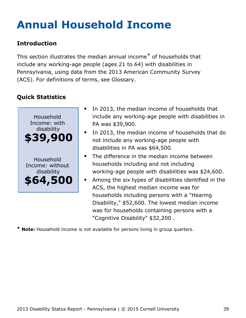# <span id="page-39-0"></span>**Annual Household Income**

### **Introduction**

This section illustrates the median annual income\* of households that include any working-age people (ages 21 to 64) with disabilities in Pennsylvania, using data from the 2013 American Community Survey (ACS). For definitions of terms, see Glossary.

### **Quick Statistics**



- In 2013, the median income of households that include any working-age people with disabilities in PA was \$39,900.
- In 2013, the median income of households that do not include any working-age people with disabilities in PA was \$64,500.
- The difference in the median income between households including and not including working-age people with disabilities was \$24,600.
- Among the six types of disabilities identified in the ACS, the highest median income was for households including persons with a "Hearing Disability," \$52,600. The lowest median income was for households containing persons with a "Cognitive Disability" \$32,200 .

**\* Note:** Household income is not available for persons living in group quarters.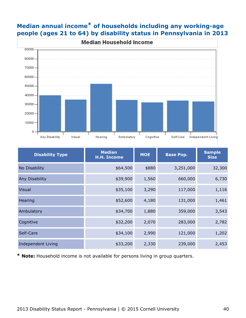

### **Median annual income\* of households including any working-age people (ages 21 to 64) by disability status in Pennsylvania in 2013**

| <b>Disability Type</b> | <b>Median</b><br><b>H.H. Income</b> | <b>MOE</b> | <b>Base Pop.</b> | <b>Sample</b><br><b>Size</b> |
|------------------------|-------------------------------------|------------|------------------|------------------------------|
| No Disability          | \$64,500                            | \$880      | 3,251,000        | 32,300                       |
| Any Disability         | \$39,900                            | 1,560      | 660,000          | 6,730                        |
| <b>Visual</b>          | \$35,100                            | 3,290      | 117,000          | 1,116                        |
| Hearing                | \$52,600                            | 4,180      | 131,000          | 1,461                        |
| Ambulatory             | \$34,700                            | 1,880      | 359,000          | 3,543                        |
| Cognitive              | \$32,200                            | 2,070      | 283,000          | 2,782                        |
| Self-Care              | \$34,100                            | 2,990      | 121,000          | 1,202                        |
| Independent Living     | \$33,200                            | 2,330      | 239,000          | 2,453                        |

**\* Note:** Household income is not available for persons living in group quarters.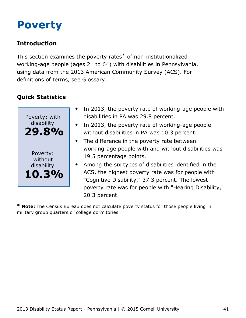## <span id="page-41-0"></span>**Poverty**

### **Introduction**

This section examines the poverty rates\* of non-institutionalized working-age people (ages 21 to 64) with disabilities in Pennsylvania, using data from the 2013 American Community Survey (ACS). For definitions of terms, see Glossary.

### **Quick Statistics**



- In 2013, the poverty rate of working-age people with disabilities in PA was 29.8 percent.
- In 2013, the poverty rate of working-age people without disabilities in PA was 10.3 percent.
- The difference in the poverty rate between working-age people with and without disabilities was 19.5 percentage points.
- Among the six types of disabilities identified in the ACS, the highest poverty rate was for people with "Cognitive Disability," 37.3 percent. The lowest poverty rate was for people with "Hearing Disability," 20.3 percent.

**\* Note:** The Census Bureau does not calculate poverty status for those people living in military group quarters or college dormitories.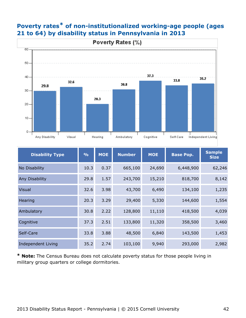

O.

Any Disability

Visual

Hearing

#### **Poverty rates\* of non-institutionalized working-age people (ages 21 to 64) by disability status in Pennsylvania in 2013**

| <b>Disability Type</b>    | $\frac{0}{0}$ | <b>MOE</b> | <b>Number</b> | <b>MOE</b> | <b>Base Pop.</b> | <b>Sample</b><br><b>Size</b> |
|---------------------------|---------------|------------|---------------|------------|------------------|------------------------------|
| No Disability             | 10.3          | 0.37       | 665,100       | 24,690     | 6,448,900        | 62,246                       |
| <b>Any Disability</b>     | 29.8          | 1.57       | 243,700       | 15,210     | 818,700          | 8,142                        |
| <b>Visual</b>             | 32.6          | 3.98       | 43,700        | 6,490      | 134,100          | 1,235                        |
| Hearing                   | 20.3          | 3.29       | 29,400        | 5,330      | 144,600          | 1,554                        |
| Ambulatory                | 30.8          | 2.22       | 128,800       | 11,110     | 418,500          | 4,039                        |
| Cognitive                 | 37.3          | 2.51       | 133,800       | 11,320     | 358,500          | 3,460                        |
| Self-Care                 | 33.8          | 3.88       | 48,500        | 6,840      | 143,500          | 1,453                        |
| <b>Independent Living</b> | 35.2          | 2.74       | 103,100       | 9,940      | 293,000          | 2,982                        |

Ambulatory

Cognitive

Self-Care

Independent Living

**\* Note:** The Census Bureau does not calculate poverty status for those people living in military group quarters or college dormitories.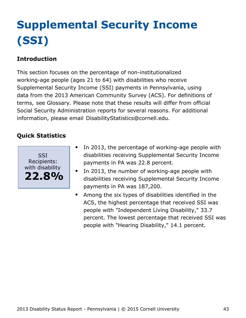# <span id="page-43-0"></span>**Supplemental Security Income (SSI)**

### **Introduction**

This section focuses on the percentage of non-institutionalized working-age people (ages 21 to 64) with disabilities who receive Supplemental Security Income (SSI) payments in Pennsylvania, using data from the 2013 American Community Survey (ACS). For definitions of terms, see Glossary. Please note that these results will differ from official Social Security Administration reports for several reasons. For additional information, please email [DisabilityStatistics@cornell.edu](mailto:DisabilityStatistics@cornell.edu).



- In 2013, the percentage of working-age people with disabilities receiving Supplemental Security Income payments in PA was 22.8 percent.
- In 2013, the number of working-age people with  $\bullet$ disabilities receiving Supplemental Security Income payments in PA was 187,200.
- Among the six types of disabilities identified in the  $\bullet$ ACS, the highest percentage that received SSI was people with "Independent Living Disability," 33.7 percent. The lowest percentage that received SSI was people with "Hearing Disability," 14.1 percent.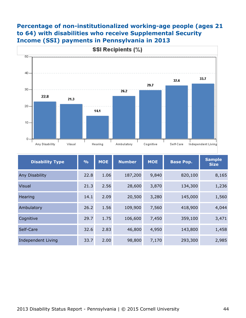#### **Percentage of non-institutionalized working-age people (ages 21 to 64) with disabilities who receive Supplemental Security Income (SSI) payments in Pennsylvania in 2013**



| <b>Disability Type</b>    | $\frac{9}{6}$ | <b>MOE</b> | <b>Number</b> | <b>MOE</b> |         | <b>Sample</b><br><b>Size</b> |
|---------------------------|---------------|------------|---------------|------------|---------|------------------------------|
| Any Disability            | 22.8          | 1.06       | 187,200       | 9,840      | 820,100 | 8,165                        |
| Visual                    | 21.3          | 2.56       | 28,600        | 3,870      | 134,300 | 1,236                        |
| Hearing                   | 14.1          | 2.09       | 20,500        | 3,280      | 145,000 | 1,560                        |
| Ambulatory                | 26.2          | 1.56       | 109,900       | 7,560      | 418,900 | 4,044                        |
| Cognitive                 | 29.7          | 1.75       | 106,600       | 7,450      | 359,100 | 3,471                        |
| Self-Care                 | 32.6          | 2.83       | 46,800        | 4,950      | 143,800 | 1,458                        |
| <b>Independent Living</b> | 33.7          | 2.00       | 98,800        | 7,170      | 293,300 | 2,985                        |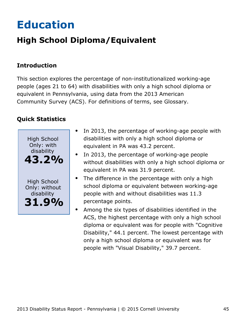# <span id="page-45-0"></span>**Education**

### **High School Diploma/Equivalent**

### **Introduction**

This section explores the percentage of non-institutionalized working-age people (ages 21 to 64) with disabilities with only a high school diploma or equivalent in Pennsylvania, using data from the 2013 American Community Survey (ACS). For definitions of terms, see Glossary.



- In 2013, the percentage of working-age people with  $\bullet$ disabilities with only a high school diploma or equivalent in PA was 43.2 percent.
- In 2013, the percentage of working-age people without disabilities with only a high school diploma or equivalent in PA was 31.9 percent.
- The difference in the percentage with only a high school diploma or equivalent between working-age people with and without disabilities was 11.3 percentage points.
- Among the six types of disabilities identified in the ACS, the highest percentage with only a high school diploma or equivalent was for people with "Cognitive Disability," 44.1 percent. The lowest percentage with only a high school diploma or equivalent was for people with "Visual Disability," 39.7 percent.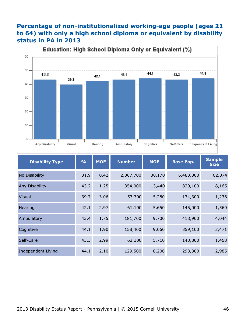#### **Percentage of non-institutionalized working-age people (ages 21 to 64) with only a high school diploma or equivalent by disability status in PA in 2013**



| <b>Disability Type</b>    | $\frac{0}{0}$ | <b>MOE</b> | <b>Number</b><br><b>MOE</b> |        | <b>Base Pop.</b> | <b>Sample</b><br><b>Size</b> |
|---------------------------|---------------|------------|-----------------------------|--------|------------------|------------------------------|
| No Disability             | 31.9          | 0.42       | 2,067,700                   | 30,170 | 6,483,800        | 62,874                       |
| Any Disability            | 43.2          | 1.25       | 354,000                     | 13,440 | 820,100          | 8,165                        |
| <b>Visual</b>             | 39.7          | 3.06       | 53,300                      | 5,280  | 134,300          | 1,236                        |
| Hearing                   | 42.1          | 2.97       | 61,100                      | 5,650  | 145,000          | 1,560                        |
| Ambulatory                | 43.4          | 1.75       | 181,700                     | 9,700  | 418,900          | 4,044                        |
| Cognitive                 | 44.1          | 1.90       | 158,400                     | 9,060  | 359,100          | 3,471                        |
| Self-Care                 | 43.3          | 2.99       | 62,300                      | 5,710  | 143,800          | 1,458                        |
| <b>Independent Living</b> | 44.1          | 2.10       | 129,500                     | 8,200  | 293,300          | 2,985                        |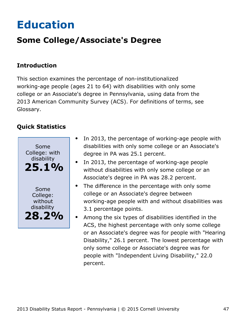# <span id="page-47-0"></span>**Education**

### **Some College/Associate's Degree**

#### **Introduction**

This section examines the percentage of non-institutionalized working-age people (ages 21 to 64) with disabilities with only some college or an Associate's degree in Pennsylvania, using data from the 2013 American Community Survey (ACS). For definitions of terms, see Glossary.



- In 2013, the percentage of working-age people with  $\bullet$ disabilities with only some college or an Associate's degree in PA was 25.1 percent.
- In 2013, the percentage of working-age people without disabilities with only some college or an Associate's degree in PA was 28.2 percent.
- The difference in the percentage with only some  $\bullet$ college or an Associate's degree between working-age people with and without disabilities was 3.1 percentage points.
- Among the six types of disabilities identified in the ACS, the highest percentage with only some college or an Associate's degree was for people with "Hearing Disability," 26.1 percent. The lowest percentage with only some college or Associate's degree was for people with "Independent Living Disability," 22.0 percent.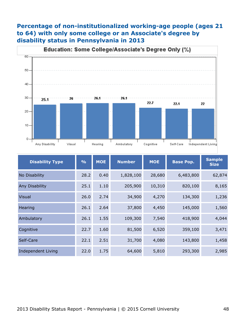### **Percentage of non-institutionalized working-age people (ages 21 to 64) with only some college or an Associate's degree by disability status in Pennsylvania in 2013**



| <b>Disability Type</b> | $\frac{9}{6}$ | <b>MOE</b> | <b>Number</b> | <b>MOE</b> | <b>Base Pop.</b> | <b>Sample</b><br><b>Size</b> |
|------------------------|---------------|------------|---------------|------------|------------------|------------------------------|
| No Disability          | 28.2          | 0.40       | 1,828,100     | 28,680     | 6,483,800        | 62,874                       |
| Any Disability         | 25.1          | 1.10       | 205,900       | 10,310     | 820,100          | 8,165                        |
| <b>Visual</b>          | 26.0          | 2.74       | 34,900        | 4,270      | 134,300          | 1,236                        |
| Hearing                | 26.1          | 2.64       | 37,800        | 4,450      | 145,000          | 1,560                        |
| Ambulatory             | 26.1          | 1.55       | 109,300       | 7,540      | 418,900          | 4,044                        |
| Cognitive              | 22.7          | 1.60       | 81,500        | 6,520      | 359,100          | 3,471                        |
| Self-Care              | 22.1          | 2.51       | 31,700        | 4,080      | 143,800          | 1,458                        |
| Independent Living     | 22.0          | 1.75       | 64,600        | 5,810      | 293,300          | 2,985                        |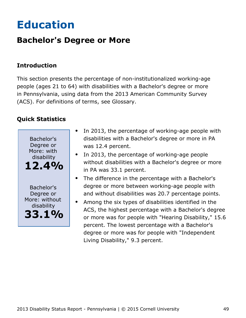# <span id="page-49-0"></span>**Education**

### **Bachelor's Degree or More**

#### **Introduction**

This section presents the percentage of non-institutionalized working-age people (ages 21 to 64) with disabilities with a Bachelor's degree or more in Pennsylvania, using data from the 2013 American Community Survey (ACS). For definitions of terms, see Glossary.



- In 2013, the percentage of working-age people with disabilities with a Bachelor's degree or more in PA was 12.4 percent.
- In 2013, the percentage of working-age people without disabilities with a Bachelor's degree or more in PA was 33.1 percent.
- The difference in the percentage with a Bachelor's degree or more between working-age people with and without disabilities was 20.7 percentage points.
- Among the six types of disabilities identified in the ACS, the highest percentage with a Bachelor's degree or more was for people with "Hearing Disability," 15.6 percent. The lowest percentage with a Bachelor's degree or more was for people with "Independent Living Disability," 9.3 percent.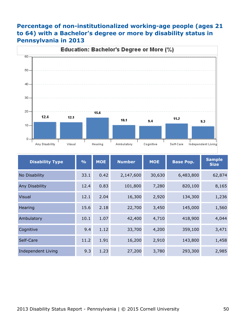#### **Percentage of non-institutionalized working-age people (ages 21 to 64) with a Bachelor's degree or more by disability status in Pennsylvania in 2013**



| <b>Disability Type</b>    | $\frac{0}{0}$ | <b>MOE</b> | <b>Number</b><br><b>MOE</b> |        | <b>Base Pop.</b> | <b>Sample</b><br><b>Size</b> |
|---------------------------|---------------|------------|-----------------------------|--------|------------------|------------------------------|
| No Disability             | 33.1          | 0.42       | 2,147,600                   | 30,630 | 6,483,800        | 62,874                       |
| Any Disability            | 12.4          | 0.83       | 101,800                     | 7,280  | 820,100          | 8,165                        |
| <b>Visual</b>             | 12.1          | 2.04       | 16,300                      | 2,920  | 134,300          | 1,236                        |
| Hearing                   | 15.6          | 2.18       | 22,700                      | 3,450  | 145,000          | 1,560                        |
| Ambulatory                | 10.1          | 1.07       | 42,400                      | 4,710  | 418,900          | 4,044                        |
| Cognitive                 | 9.4           | 1.12       | 33,700                      | 4,200  | 359,100          | 3,471                        |
| Self-Care                 | 11.2          | 1.91       | 16,200                      | 2,910  | 143,800          | 1,458                        |
| <b>Independent Living</b> | 9.3           | 1.23       | 27,200                      | 3,780  | 293,300          | 2,985                        |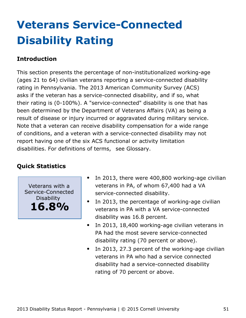# <span id="page-51-0"></span>**Veterans Service-Connected Disability Rating**

#### **Introduction**

This section presents the percentage of non-institutionalized working-age (ages 21 to 64) civilian veterans reporting a service-connected disability rating in Pennsylvania. The 2013 American Community Survey (ACS) asks if the veteran has a service-connected disability, and if so, what their rating is (0-100%). A "service-connected" disability is one that has been determined by the Department of Veterans Affairs (VA) as being a result of disease or injury incurred or aggravated during military service. Note that a veteran can receive disability compensation for a wide range of conditions, and a veteran with a service-connected disability may not report having one of the six ACS functional or activity limitation disabilities. For definitions of terms, see Glossary.

#### **Quick Statistics**

Veterans with a Service-Connected Disability **16.8%**

- In 2013, there were 400,800 working-age civilian veterans in PA, of whom 67,400 had a VA service-connected disability.
- $\bullet$ In 2013, the percentage of working-age civilian veterans in PA with a VA service-connected disability was 16.8 percent.
- In 2013, 18,400 working-age civilian veterans in  $\bullet$ PA had the most severe service-connected disability rating (70 percent or above).
- In 2013, 27.3 percent of the working-age civilian  $\bullet$ veterans in PA who had a service connected disability had a service-connected disability rating of 70 percent or above.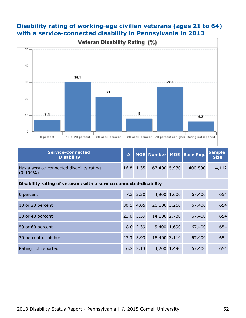#### **Disability rating of working-age civilian veterans (ages 21 to 64) with a service-connected disability in Pennsylvania in 2013**



| <b>Service-Connected</b><br><b>Disability</b>            |           |              | % MOE Number MOE Base Pop. | Sample<br>Size |
|----------------------------------------------------------|-----------|--------------|----------------------------|----------------|
| Has a service-connected disability rating<br>$(0-100\%)$ | 16.8 1.35 | 67,400 5,930 | 400,800                    | 4,112          |

#### **Disability rating of veterans with a service connected-disability**

| 0 percent            |      | $7.3$ 2.30 |              | 4,900 1,600 | 67,400 | 654 |
|----------------------|------|------------|--------------|-------------|--------|-----|
| 10 or 20 percent     | 30.1 | 4.05       | 20,300 3,260 |             | 67,400 | 654 |
| 30 or 40 percent     | 21.0 | 3.59       | 14,200 2,730 |             | 67,400 | 654 |
| 50 or 60 percent     |      | 8.0 2.39   |              | 5,400 1,690 | 67,400 | 654 |
| 70 percent or higher |      | 27.3 3.93  | 18,400 3,110 |             | 67,400 | 654 |
| Rating not reported  |      | 6.2 2.13   |              | 4,200 1,490 | 67,400 | 654 |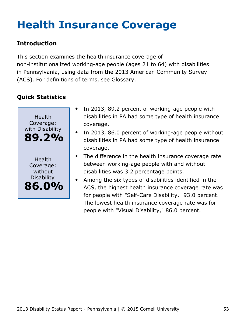# <span id="page-53-0"></span>**Health Insurance Coverage**

### **Introduction**

This section examines the health insurance coverage of non-institutionalized working-age people (ages 21 to 64) with disabilities in Pennsylvania, using data from the 2013 American Community Survey (ACS). For definitions of terms, see Glossary.



- In 2013, 89.2 percent of working-age people with disabilities in PA had some type of health insurance coverage.
- In 2013, 86.0 percent of working-age people without disabilities in PA had some type of health insurance coverage.
- The difference in the health insurance coverage rate between working-age people with and without disabilities was 3.2 percentage points.
- Among the six types of disabilities identified in the ACS, the highest health insurance coverage rate was for people with "Self-Care Disability," 93.0 percent. The lowest health insurance coverage rate was for people with "Visual Disability," 86.0 percent.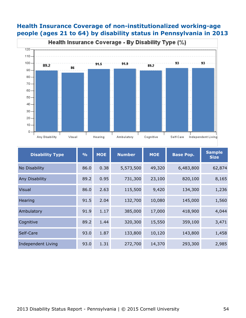#### **Health Insurance Coverage of non-institutionalized working-age people (ages 21 to 64) by disability status in Pennsylvania in 2013**



| <b>Disability Type</b> | $\frac{9}{6}$ | <b>MOE</b> | <b>Number</b> | <b>MOE</b> | <b>Base Pop.</b> | <b>Sample</b><br><b>Size</b> |
|------------------------|---------------|------------|---------------|------------|------------------|------------------------------|
| No Disability          | 86.0          | 0.38       | 5,573,500     | 49,320     | 6,483,800        | 62,874                       |
| Any Disability         | 89.2          | 0.95       | 731,300       | 23,100     | 820,100          | 8,165                        |
| <b>Visual</b>          | 86.0          | 2.63       | 115,500       | 9,420      | 134,300          | 1,236                        |
| Hearing                | 91.5          | 2.04       | 132,700       | 10,080     | 145,000          | 1,560                        |
| Ambulatory             | 91.9          | 1.17       | 385,000       | 17,000     | 418,900          | 4,044                        |
| Cognitive              | 89.2          | 1.44       | 320,300       | 15,550     | 359,100          | 3,471                        |
| Self-Care              | 93.0          | 1.87       | 133,800       | 10,120     | 143,800          | 1,458                        |
| Independent Living     | 93.0          | 1.31       | 272,700       | 14,370     | 293,300          | 2,985                        |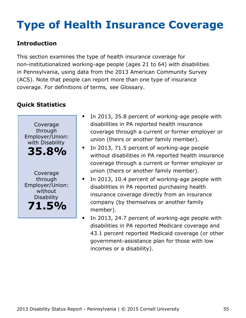# <span id="page-55-0"></span>**Type of Health Insurance Coverage**

### **Introduction**

This section examines the type of health insurance coverage for non-institutionalized working-age people (ages 21 to 64) with disabilities in Pennsylvania, using data from the 2013 American Community Survey (ACS). Note that people can report more than one type of insurance coverage. For definitions of terms, see Glossary.



- In 2013, 35.8 percent of working-age people with disabilities in PA reported health insurance coverage through a current or former employer or union (theirs or another family member).
- In 2013, 71.5 percent of working-age people  $\bullet$ without disabilities in PA reported health insurance coverage through a current or former employer or union (theirs or another family member).
- In 2013, 10.4 percent of working-age people with disabilities in PA reported purchasing health insurance coverage directly from an insurance company (by themselves or another family member).
	- In 2013, 24.7 percent of working-age people with disabilities in PA reported Medicare coverage and 43.1 percent reported Medicaid coverage (or other government-assistance plan for those with low incomes or a disability).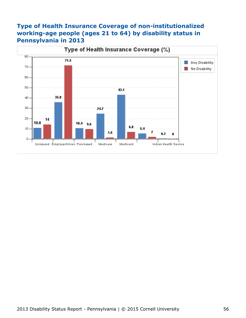#### **Type of Health Insurance Coverage of non-institutionalized working-age people (ages 21 to 64) by disability status in Pennsylvania in 2013**

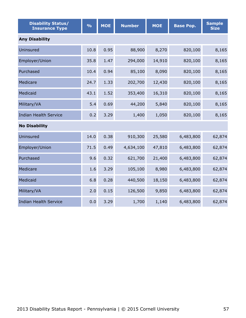| <b>Disability Status/</b><br><b>Insurance Type</b> | $\frac{0}{0}$ | <b>MOE</b> | <b>Number</b> | <b>MOE</b> | <b>Base Pop.</b> | <b>Sample</b><br><b>Size</b> |  |  |  |  |
|----------------------------------------------------|---------------|------------|---------------|------------|------------------|------------------------------|--|--|--|--|
| <b>Any Disability</b>                              |               |            |               |            |                  |                              |  |  |  |  |
| Uninsured                                          | 10.8          | 0.95       | 88,900        | 8,270      | 820,100          | 8,165                        |  |  |  |  |
| Employer/Union                                     | 35.8          | 1.47       | 294,000       | 14,910     | 820,100          | 8,165                        |  |  |  |  |
| Purchased                                          | 10.4          | 0.94       | 85,100        | 8,090      | 820,100          | 8,165                        |  |  |  |  |
| Medicare                                           | 24.7          | 1.33       | 202,700       | 12,430     | 820,100          | 8,165                        |  |  |  |  |
| Medicaid                                           | 43.1          | 1.52       | 353,400       | 16,310     | 820,100          | 8,165                        |  |  |  |  |
| Military/VA                                        | 5.4           | 0.69       | 44,200        | 5,840      | 820,100          | 8,165                        |  |  |  |  |
| <b>Indian Health Service</b>                       | 0.2           | 3.29       | 1,400         | 1,050      | 820,100          | 8,165                        |  |  |  |  |
| <b>No Disability</b>                               |               |            |               |            |                  |                              |  |  |  |  |
| Uninsured                                          | 14.0          | 0.38       | 910,300       | 25,580     | 6,483,800        | 62,874                       |  |  |  |  |
| Employer/Union                                     | 71.5          | 0.49       | 4,634,100     | 47,810     | 6,483,800        | 62,874                       |  |  |  |  |
| Purchased                                          | 9.6           | 0.32       | 621,700       | 21,400     | 6,483,800        | 62,874                       |  |  |  |  |
| Medicare                                           | 1.6           | 3.29       | 105,100       | 8,980      | 6,483,800        | 62,874                       |  |  |  |  |
| Medicaid                                           | 6.8           | 0.28       | 440,500       | 18,150     | 6,483,800        | 62,874                       |  |  |  |  |
| Military/VA                                        | 2.0           | 0.15       | 126,500       | 9,850      | 6,483,800        | 62,874                       |  |  |  |  |
| <b>Indian Health Service</b>                       | 0.0           | 3.29       | 1,700         | 1,140      | 6,483,800        | 62,874                       |  |  |  |  |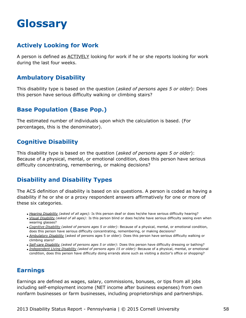## <span id="page-58-0"></span>**Glossary**

#### **Actively Looking for Work**

A person is defined as ACTIVELY looking for work if he or she reports looking for work during the last four weeks.

#### **Ambulatory Disability**

This disability type is based on the question (*asked of persons ages 5 or older*): Does this person have serious difficulty walking or climbing stairs?

#### **Base Population (Base Pop.)**

The estimated number of individuals upon which the calculation is based. (For percentages, this is the denominator).

#### **Cognitive Disability**

This disability type is based on the question (*asked of persons ages 5 or older*): Because of a physical, mental, or emotional condition, does this person have serious difficulty concentrating, remembering, or making decisions?

#### **Disability and Disability Types**

The ACS definition of disability is based on six questions. A person is coded as having a disability if he or she or a proxy respondent answers affirmatively for one or more of these six categories.

- *Hearing Disability (asked of all ages):* Is this person deaf or does he/she have serious difficulty hearing?
- *Visual Disability (asked of all ages)*: Is this person blind or does he/she have serious difficulty seeing even when wearing glasses?
- *Cognitive Disability (asked of persons ages 5 or older)*: Because of a physical, mental, or emotional condition, does this person have serious difficulty concentrating, remembering, or making decisions?
- *Ambulatory Disability* (asked of persons ages 5 or older): Does this person have serious difficulty walking or climbing stairs?
- *Self-care Disability (asked of persons ages 5 or older)*: Does this person have difficulty dressing or bathing?
- *Independent Living Disability (asked of persons ages 15 or older):* Because of a physical, mental, or emotional condition, does this person have difficulty doing errands alone such as visiting a doctor's office or shopping?

#### **Earnings**

Earnings are defined as wages, salary, commissions, bonuses, or tips from all jobs including self-employment income (NET income after business expenses) from own nonfarm businesses or farm businesses, including proprietorships and partnerships.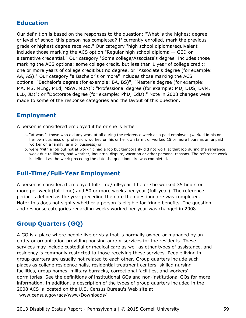#### **Education**

Our definition is based on the responses to the question: "What is the highest degree or level of school this person has completed? If currently enrolled, mark the previous grade or highest degree received." Our category "high school diploma/equivalent" includes those marking the ACS option "Regular high school diploma — GED or alternative credential." Our category "Some college/Associate's degree" includes those marking the ACS options: some college credit, but less than 1 year of college credit; one or more years of college credit but no degree, or "Associate's degree (for example: AA, AS)." Our category "a Bachelor's or more" includes those marking the ACS options: "Bachelor's degree (for example: BA, BS)"; "Master's degree (for example: MA, MS, MEng, MEd, MSW, MBA)"; "Professional degree (for example: MD, DDS, DVM, LLB, JD)"; or "Doctorate degree (for example: PhD, EdD)." Note in 2008 changes were made to some of the response categories and the layout of this question.

#### **Employment**

A person is considered employed if he or she is either

- a. "at work": those who did any work at all during the reference week as a paid employee (worked in his or her own business or profession, worked on his or her own farm, or worked 15 or more hours as an unpaid worker on a family farm or business) or
- b. were "with a job but not at work," : had a job but temporarily did not work at that job during the reference week due to illness, bad weather, industrial dispute, vacation or other personal reasons. The reference week is defined as the week preceding the date the questionnaire was completed.

#### **Full-Time/Full-Year Employment**

A person is considered employed full-time/full-year if he or she worked 35 hours or more per week (full-time) and 50 or more weeks per year (full-year). The reference period is defined as the year preceding the date the questionnaire was completed. Note: this does not signify whether a person is eligible for fringe benefits. The question and response categories regarding weeks worked per year was changed in 2008.

#### **Group Quarters (GQ)**

A GQ is a place where people live or stay that is normally owned or managed by an entity or organization providing housing and/or services for the residents. These services may include custodial or medical care as well as other types of assistance, and residency is commonly restricted to those receiving these services. People living in group quarters are usually not related to each other. Group quarters include such places as college residence halls, residential treatment centers, skilled nursing facilities, group homes, military barracks, correctional facilities, and workers' dormitories. See the definitions of institutional GQs and non-institutional GQs for more information. In addition, a description of the types of group quarters included in the 2008 ACS is located on the U.S. Census Bureau's Web site at [www.census.gov/acs/www/Downloads/](http://www.census.gov/acs/www/Downloads/2008_ACS_GQ_Definitions.pdf)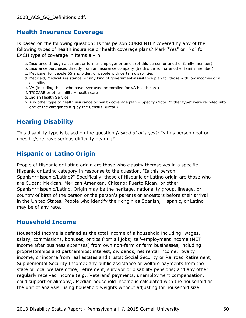#### **Health Insurance Coverage**

Is based on the following question: Is this person CURRENTLY covered by any of the following types of health insurance or health coverage plans? Mark "Yes" or "No" for EACH type of coverage in items a – h.

- a. Insurance through a current or former employer or union (of this person or another family member)
- b. Insurance purchased directly from an insurance company (by this person or another family member)
- c. Medicare, for people 65 and older, or people with certain disabilities
- d. Medicaid, Medical Assistance, or any kind of government-assistance plan for those with low incomes or a disability
- e. VA (including those who have ever used or enrolled for VA health care)
- f. TRICARE or other military health care
- g. Indian Health Service
- h. Any other type of health insurance or health coverage plan Specify (Note: "Other type" were recoded into one of the categories a-g by the Census Bureau)

#### **Hearing Disability**

This disability type is based on the question *(asked of all ages)*: Is this person deaf or does he/she have serious difficulty hearing?

#### **Hispanic or Latino Origin**

People of Hispanic or Latino origin are those who classify themselves in a specific Hispanic or Latino category in response to the question, "Is this person Spanish/Hispanic/Latino?" Specifically, those of Hispanic or Latino origin are those who are Cuban; Mexican, Mexican American, Chicano; Puerto Rican; or other Spanish/Hispanic/Latino. Origin may be the heritage, nationality group, lineage, or country of birth of the person or the person's parents or ancestors before their arrival in the United States. People who identify their origin as Spanish, Hispanic, or Latino may be of any race.

#### **Household Income**

Household Income is defined as the total income of a household including: wages, salary, commissions, bonuses, or tips from all jobs; self-employment income (NET income after business expenses) from own non-farm or farm businesses, including proprietorships and partnerships; interest, dividends, net rental income, royalty income, or income from real estates and trusts; Social Security or Railroad Retirement; Supplemental Security Income; any public assistance or welfare payments from the state or local welfare office; retirement, survivor or disability pensions; and any other regularly received income (e.g., Veterans' payments, unemployment compensation, child support or alimony). Median household income is calculated with the household as the unit of analysis, using household weights without adjusting for household size.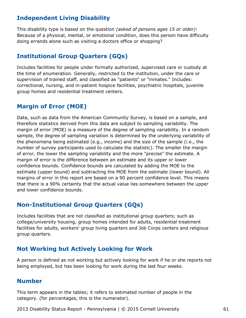#### **Independent Living Disability**

This disability type is based on the question *(asked of persons ages 15 or older)*: Because of a physical, mental, or emotional condition, does this person have difficulty doing errands alone such as visiting a doctors office or shopping?

#### **Institutional Group Quarters (GQs)**

Includes facilities for people under formally authorized, supervised care or custody at the time of enumeration. Generally, restricted to the institution, under the care or supervision of trained staff, and classified as "patients" or "inmates." Includes: correctional, nursing, and in-patient hospice facilities, psychiatric hospitals, juvenile group homes and residential treatment centers.

#### **Margin of Error (MOE)**

Data, such as data from the American Community Survey, is based on a sample, and therefore statistics derived from this data are subject to sampling variability. The margin of error (MOE) is a measure of the degree of sampling variability. In a random sample, the degree of sampling variation is determined by the underlying variability of the phenomena being estimated (e.g., income) and the size of the sample (i.e., the number of survey participants used to calculate the statistic). The smaller the margin of error, the lower the sampling variability and the more "precise" the estimate. A margin of error is the difference between an estimate and its upper or lower confidence bounds. Confidence bounds are calculated by adding the MOE to the estimate (upper bound) and subtracting the MOE from the estimate (lower bound). All margins of error in this report are based on a 90 percent confidence level. This means that there is a 90% certainty that the actual value lies somewhere between the upper and lower confidence bounds.

#### **Non-Institutional Group Quarters (GQs)**

Includes facilities that are not classified as institutional group quarters; such as college/university housing, group homes intended for adults, residential treatment facilities for adults, workers' group living quarters and Job Corps centers and religious group quarters.

#### **Not Working but Actively Looking for Work**

A person is defined as not working but actively looking for work if he or she reports not being employed, but has been looking for work during the last four weeks.

#### **Number**

This term appears in the tables; it refers to estimated number of people in the category. (for percentages, this is the numerator).

2013 Disability Status Report - Pennsylvania | © 2015 Cornell University 61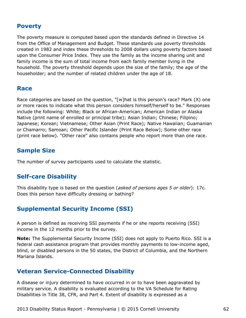#### **Poverty**

The poverty measure is computed based upon the standards defined in Directive 14 from the Office of Management and Budget. These standards use poverty thresholds created in 1982 and index these thresholds to 2008 dollars using poverty factors based upon the Consumer Price Index. They use the family as the income sharing unit and family income is the sum of total income from each family member living in the household. The poverty threshold depends upon the size of the family; the age of the householder; and the number of related children under the age of 18.

#### **Race**

Race categories are based on the question, "[w]hat is this person's race? Mark (X) one or more races to indicate what this person considers himself/herself to be." Responses include the following: White; Black or African-American; American Indian or Alaska Native (print name of enrolled or principal tribe); Asian Indian; Chinese; Filipino; Japanese; Korean; Vietnamese; Other Asian (Print Race); Native Hawaiian; Guamanian or Chamarro; Samoan; Other Pacific Islander (Print Race Below); Some other race (print race below). "Other race" also contains people who report more than one race.

#### **Sample Size**

The number of survey participants used to calculate the statistic.

#### **Self-care Disability**

This disability type is based on the question (*asked of persons ages 5 or older*): 17c. Does this person have difficulty dressing or bathing?

#### **Supplemental Security Income (SSI)**

A person is defined as receiving SSI payments if he or she reports receiving (SSI) income in the 12 months prior to the survey.

**Note:** The Supplemental Security Income (SSI) does not apply to Puerto Rico. SSI is a federal cash assistance program that provides monthly payments to low-income aged, blind, or disabled persons in the 50 states, the District of Columbia, and the Northern Mariana Islands.

#### **Veteran Service-Connected Disability**

A disease or injury determined to have occurred in or to have been aggravated by military service. A disability is evaluated according to the VA Schedule for Rating Disabilities in Title 38, CFR, and Part 4. Extent of disability is expressed as a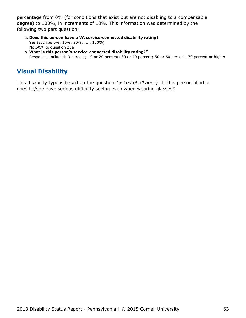percentage from 0% (for conditions that exist but are not disabling to a compensable degree) to 100%, in increments of 10%. This information was determined by the following two part question:

- **Does this person have a VA service-connected disability rating?** a. Yes (such as 0%, 10%, 20%, ... , 100%) No *SKIP* to question 28a
- **What is this person's service-connected disability rating?"** b. Responses included: 0 percent; 10 or 20 percent; 30 or 40 percent; 50 or 60 percent; 70 percent or higher

### **Visual Disability**

This disability type is based on the question:*(asked of all ages)*: Is this person blind or does he/she have serious difficulty seeing even when wearing glasses?